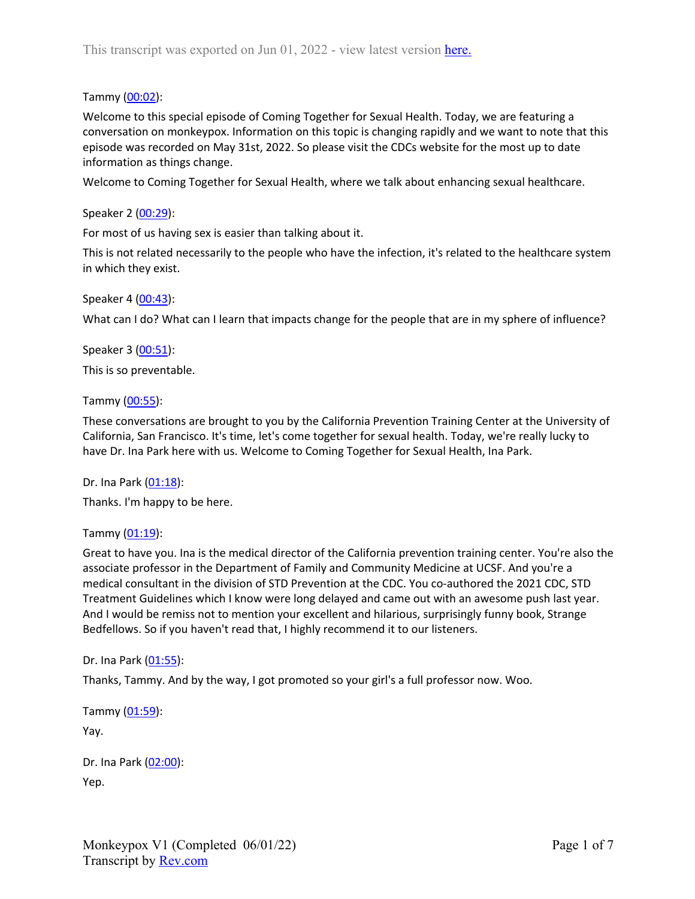## Tammy (00:02):

Welcome to this special episode of Coming Together for Sexual Health. Today, we are featuring a conversation on monkeypox. Information on this topic is changing rapidly and we want to note that this episode was recorded on May 31st, 2022. So please visit the CDCs website for the most up to date information as things change.

Welcome to Coming Together for Sexual Health, where we talk about enhancing sexual healthcare.

### Speaker 2 (00:29):

For most of us having sex is easier than talking about it.

This is not related necessarily to the people who have the infection, it's related to the healthcare system in which they exist.

#### Speaker 4 (00:43):

What can I do? What can I learn that impacts change for the people that are in my sphere of influence?

Speaker 3 (00:51): This is so preventable.

#### Tammy (00:55):

These conversations are brought to you by the California Prevention Training Center at the University of California, San Francisco. It's time, let's come together for sexual health. Today, we're really lucky to have Dr. Ina Park here with us. Welcome to Coming Together for Sexual Health, Ina Park.

Dr. Ina Park (01:18):

Thanks. I'm happy to be here.

#### Tammy  $(01:19)$ :

Great to have you. Ina is the medical director of the California prevention training center. You're also the associate professor in the Department of Family and Community Medicine at UCSF. And you're a medical consultant in the division of STD Prevention at the CDC. You co-authored the 2021 CDC, STD Treatment Guidelines which I know were long delayed and came out with an awesome push last year. And I would be remiss not to mention your excellent and hilarious, surprisingly funny book, Strange Bedfellows. So if you haven't read that, I highly recommend it to our listeners.

#### Dr. Ina Park (01:55):

Thanks, Tammy. And by the way, I got promoted so your girl's a full professor now. Woo.

Tammy (01:59):

Yay.

| Dr. Ina Park (02:00): |
|-----------------------|
| Yep.                  |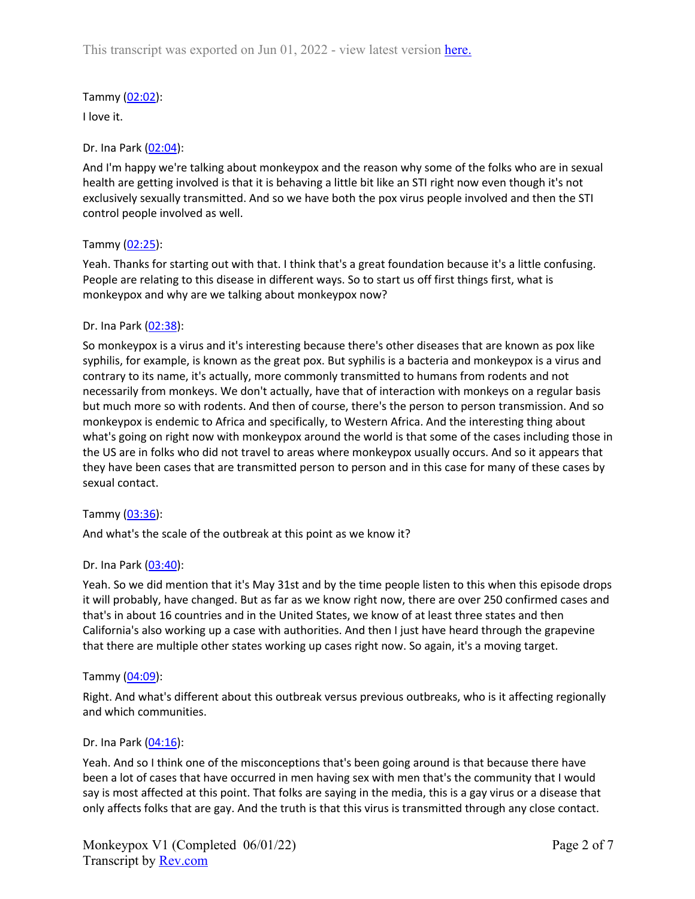# Tammy (02:02):

I love it.

## Dr. Ina Park (02:04):

And I'm happy we're talking about monkeypox and the reason why some of the folks who are in sexual health are getting involved is that it is behaving a little bit like an STI right now even though it's not exclusively sexually transmitted. And so we have both the pox virus people involved and then the STI control people involved as well.

### Tammy (02:25):

Yeah. Thanks for starting out with that. I think that's a great foundation because it's a little confusing. People are relating to this disease in different ways. So to start us off first things first, what is monkeypox and why are we talking about monkeypox now?

### Dr. Ina Park (02:38):

So monkeypox is a virus and it's interesting because there's other diseases that are known as pox like syphilis, for example, is known as the great pox. But syphilis is a bacteria and monkeypox is a virus and contrary to its name, it's actually, more commonly transmitted to humans from rodents and not necessarily from monkeys. We don't actually, have that of interaction with monkeys on a regular basis but much more so with rodents. And then of course, there's the person to person transmission. And so monkeypox is endemic to Africa and specifically, to Western Africa. And the interesting thing about what's going on right now with monkeypox around the world is that some of the cases including those in the US are in folks who did not travel to areas where monkeypox usually occurs. And so it appears that they have been cases that are transmitted person to person and in this case for many of these cases by sexual contact.

## Tammy (03:36):

And what's the scale of the outbreak at this point as we know it?

## Dr. Ina Park (03:40):

Yeah. So we did mention that it's May 31st and by the time people listen to this when this episode drops it will probably, have changed. But as far as we know right now, there are over 250 confirmed cases and that's in about 16 countries and in the United States, we know of at least three states and then California's also working up a case with authorities. And then I just have heard through the grapevine that there are multiple other states working up cases right now. So again, it's a moving target.

#### Tammy (04:09):

Right. And what's different about this outbreak versus previous outbreaks, who is it affecting regionally and which communities.

## Dr. Ina Park (04:16):

Yeah. And so I think one of the misconceptions that's been going around is that because there have been a lot of cases that have occurred in men having sex with men that's the community that I would say is most affected at this point. That folks are saying in the media, this is a gay virus or a disease that only affects folks that are gay. And the truth is that this virus is transmitted through any close contact.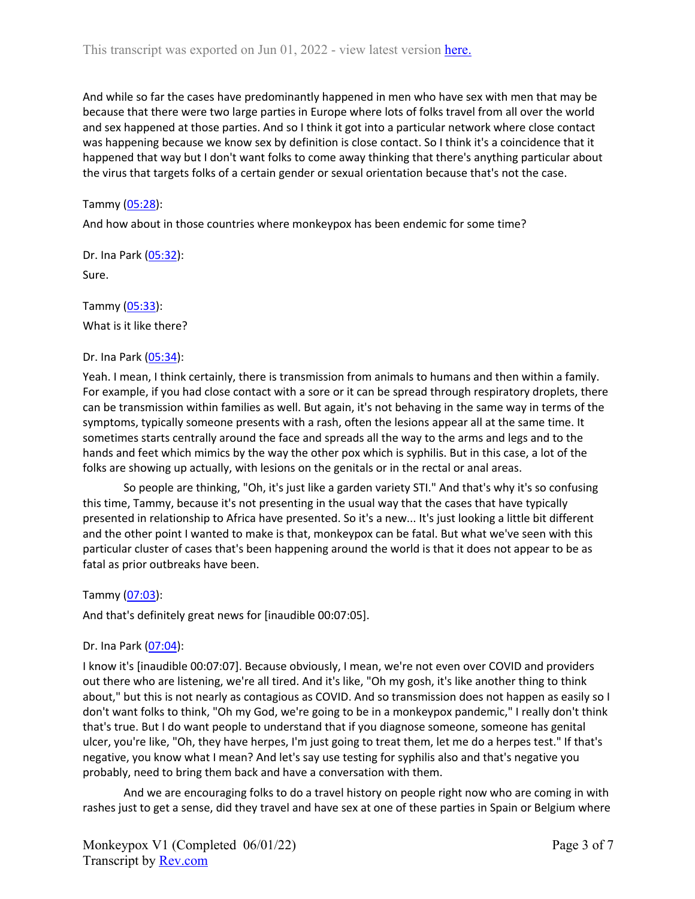And while so far the cases have predominantly happened in men who have sex with men that may be because that there were two large parties in Europe where lots of folks travel from all over the world and sex happened at those parties. And so I think it got into a particular network where close contact was happening because we know sex by definition is close contact. So I think it's a coincidence that it happened that way but I don't want folks to come away thinking that there's anything particular about the virus that targets folks of a certain gender or sexual orientation because that's not the case.

#### Tammy (05:28):

And how about in those countries where monkeypox has been endemic for some time?

Dr. Ina Park (05:32):

Sure.

Tammy (05:33): What is it like there?

#### Dr. Ina Park (05:34):

Yeah. I mean, I think certainly, there is transmission from animals to humans and then within a family. For example, if you had close contact with a sore or it can be spread through respiratory droplets, there can be transmission within families as well. But again, it's not behaving in the same way in terms of the symptoms, typically someone presents with a rash, often the lesions appear all at the same time. It sometimes starts centrally around the face and spreads all the way to the arms and legs and to the hands and feet which mimics by the way the other pox which is syphilis. But in this case, a lot of the folks are showing up actually, with lesions on the genitals or in the rectal or anal areas.

So people are thinking, "Oh, it's just like a garden variety STI." And that's why it's so confusing this time, Tammy, because it's not presenting in the usual way that the cases that have typically presented in relationship to Africa have presented. So it's a new... It's just looking a little bit different and the other point I wanted to make is that, monkeypox can be fatal. But what we've seen with this particular cluster of cases that's been happening around the world is that it does not appear to be as fatal as prior outbreaks have been.

Tammy (07:03):

And that's definitely great news for [inaudible 00:07:05].

#### Dr. Ina Park (07:04):

I know it's [inaudible 00:07:07]. Because obviously, I mean, we're not even over COVID and providers out there who are listening, we're all tired. And it's like, "Oh my gosh, it's like another thing to think about," but this is not nearly as contagious as COVID. And so transmission does not happen as easily so I don't want folks to think, "Oh my God, we're going to be in a monkeypox pandemic," I really don't think that's true. But I do want people to understand that if you diagnose someone, someone has genital ulcer, you're like, "Oh, they have herpes, I'm just going to treat them, let me do a herpes test." If that's negative, you know what I mean? And let's say use testing for syphilis also and that's negative you probably, need to bring them back and have a conversation with them.

And we are encouraging folks to do a travel history on people right now who are coming in with rashes just to get a sense, did they travel and have sex at one of these parties in Spain or Belgium where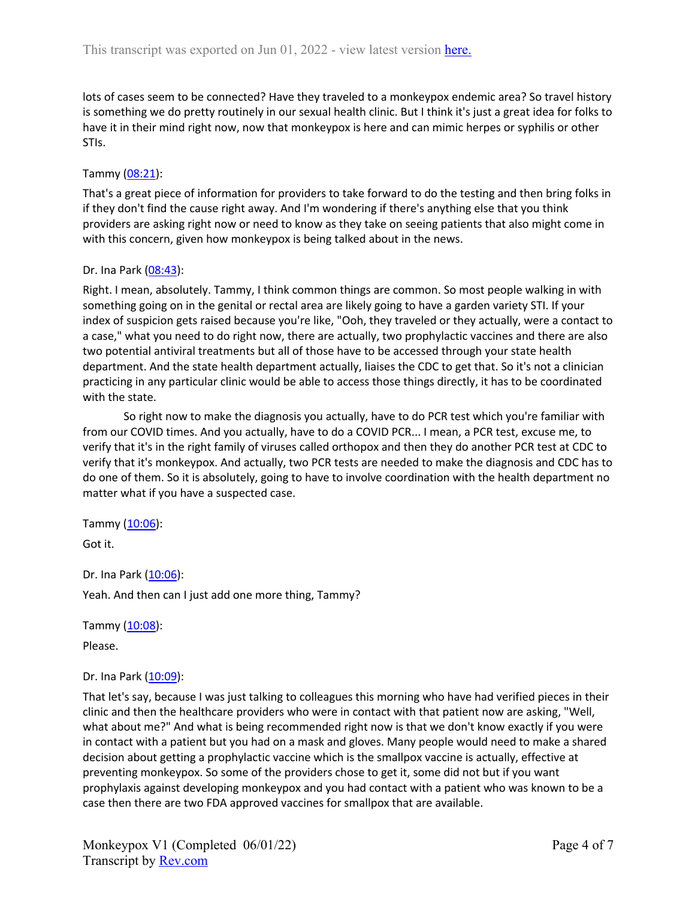lots of cases seem to be connected? Have they traveled to a monkeypox endemic area? So travel history is something we do pretty routinely in our sexual health clinic. But I think it's just a great idea for folks to have it in their mind right now, now that monkeypox is here and can mimic herpes or syphilis or other STIs.

## Tammy (08:21):

That's a great piece of information for providers to take forward to do the testing and then bring folks in if they don't find the cause right away. And I'm wondering if there's anything else that you think providers are asking right now or need to know as they take on seeing patients that also might come in with this concern, given how monkeypox is being talked about in the news.

### Dr. Ina Park (08:43):

Right. I mean, absolutely. Tammy, I think common things are common. So most people walking in with something going on in the genital or rectal area are likely going to have a garden variety STI. If your index of suspicion gets raised because you're like, "Ooh, they traveled or they actually, were a contact to a case," what you need to do right now, there are actually, two prophylactic vaccines and there are also two potential antiviral treatments but all of those have to be accessed through your state health department. And the state health department actually, liaises the CDC to get that. So it's not a clinician practicing in any particular clinic would be able to access those things directly, it has to be coordinated with the state.

So right now to make the diagnosis you actually, have to do PCR test which you're familiar with from our COVID times. And you actually, have to do a COVID PCR... I mean, a PCR test, excuse me, to verify that it's in the right family of viruses called orthopox and then they do another PCR test at CDC to verify that it's monkeypox. And actually, two PCR tests are needed to make the diagnosis and CDC has to do one of them. So it is absolutely, going to have to involve coordination with the health department no matter what if you have a suspected case.

Tammy  $(10:06)$ :

Got it.

Dr. Ina Park (10:06): Yeah. And then can I just add one more thing, Tammy?

Tammy (10:08):

Please.

## Dr. Ina Park (10:09):

That let's say, because I was just talking to colleagues this morning who have had verified pieces in their clinic and then the healthcare providers who were in contact with that patient now are asking, "Well, what about me?" And what is being recommended right now is that we don't know exactly if you were in contact with a patient but you had on a mask and gloves. Many people would need to make a shared decision about getting a prophylactic vaccine which is the smallpox vaccine is actually, effective at preventing monkeypox. So some of the providers chose to get it, some did not but if you want prophylaxis against developing monkeypox and you had contact with a patient who was known to be a case then there are two FDA approved vaccines for smallpox that are available.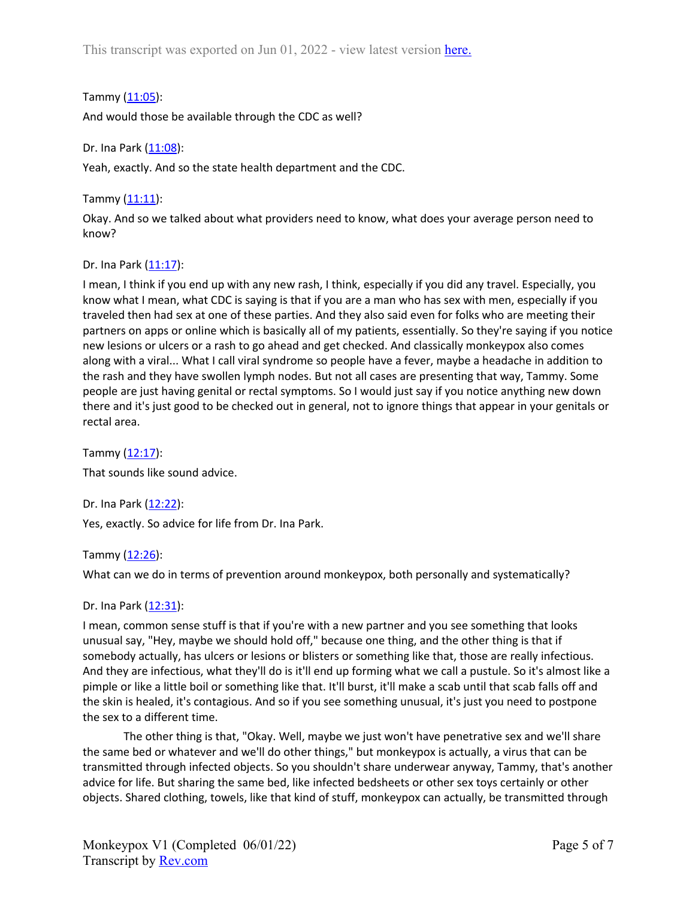Tammy (11:05):

And would those be available through the CDC as well?

Dr. Ina Park (11:08):

Yeah, exactly. And so the state health department and the CDC.

Tammy  $(11:11)$ :

Okay. And so we talked about what providers need to know, what does your average person need to know?

Dr. Ina Park (11:17):

I mean, I think if you end up with any new rash, I think, especially if you did any travel. Especially, you know what I mean, what CDC is saying is that if you are a man who has sex with men, especially if you traveled then had sex at one of these parties. And they also said even for folks who are meeting their partners on apps or online which is basically all of my patients, essentially. So they're saying if you notice new lesions or ulcers or a rash to go ahead and get checked. And classically monkeypox also comes along with a viral... What I call viral syndrome so people have a fever, maybe a headache in addition to the rash and they have swollen lymph nodes. But not all cases are presenting that way, Tammy. Some people are just having genital or rectal symptoms. So I would just say if you notice anything new down there and it's just good to be checked out in general, not to ignore things that appear in your genitals or rectal area.

Tammy  $(12:17)$ : That sounds like sound advice.

Dr. Ina Park (12:22): Yes, exactly. So advice for life from Dr. Ina Park.

Tammy (12:26):

What can we do in terms of prevention around monkeypox, both personally and systematically?

Dr. Ina Park (12:31):

I mean, common sense stuff is that if you're with a new partner and you see something that looks unusual say, "Hey, maybe we should hold off," because one thing, and the other thing is that if somebody actually, has ulcers or lesions or blisters or something like that, those are really infectious. And they are infectious, what they'll do is it'll end up forming what we call a pustule. So it's almost like a pimple or like a little boil or something like that. It'll burst, it'll make a scab until that scab falls off and the skin is healed, it's contagious. And so if you see something unusual, it's just you need to postpone the sex to a different time.

The other thing is that, "Okay. Well, maybe we just won't have penetrative sex and we'll share the same bed or whatever and we'll do other things," but monkeypox is actually, a virus that can be transmitted through infected objects. So you shouldn't share underwear anyway, Tammy, that's another advice for life. But sharing the same bed, like infected bedsheets or other sex toys certainly or other objects. Shared clothing, towels, like that kind of stuff, monkeypox can actually, be transmitted through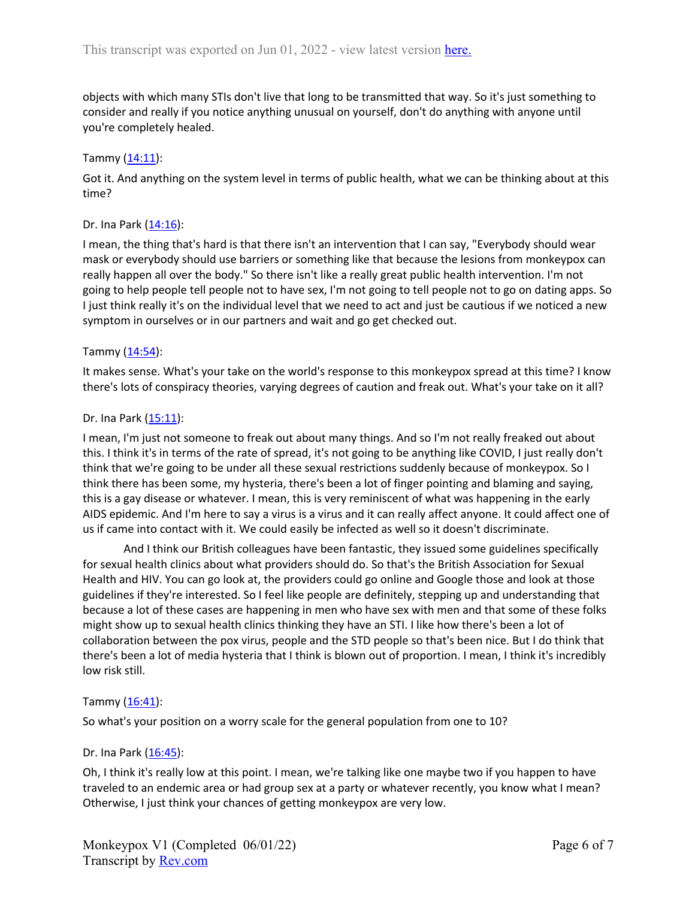objects with which many STIs don't live that long to be transmitted that way. So it's just something to consider and really if you notice anything unusual on yourself, don't do anything with anyone until you're completely healed.

## Tammy (14:11):

Got it. And anything on the system level in terms of public health, what we can be thinking about at this time?

#### Dr. Ina Park (14:16):

I mean, the thing that's hard is that there isn't an intervention that I can say, "Everybody should wear mask or everybody should use barriers or something like that because the lesions from monkeypox can really happen all over the body." So there isn't like a really great public health intervention. I'm not going to help people tell people not to have sex, I'm not going to tell people not to go on dating apps. So I just think really it's on the individual level that we need to act and just be cautious if we noticed a new symptom in ourselves or in our partners and wait and go get checked out.

### Tammy  $(14:54)$ :

It makes sense. What's your take on the world's response to this monkeypox spread at this time? I know there's lots of conspiracy theories, varying degrees of caution and freak out. What's your take on it all?

### Dr. Ina Park (15:11):

I mean, I'm just not someone to freak out about many things. And so I'm not really freaked out about this. I think it's in terms of the rate of spread, it's not going to be anything like COVID, I just really don't think that we're going to be under all these sexual restrictions suddenly because of monkeypox. So I think there has been some, my hysteria, there's been a lot of finger pointing and blaming and saying, this is a gay disease or whatever. I mean, this is very reminiscent of what was happening in the early AIDS epidemic. And I'm here to say a virus is a virus and it can really affect anyone. It could affect one of us if came into contact with it. We could easily be infected as well so it doesn't discriminate.

And I think our British colleagues have been fantastic, they issued some guidelines specifically for sexual health clinics about what providers should do. So that's the British Association for Sexual Health and HIV. You can go look at, the providers could go online and Google those and look at those guidelines if they're interested. So I feel like people are definitely, stepping up and understanding that because a lot of these cases are happening in men who have sex with men and that some of these folks might show up to sexual health clinics thinking they have an STI. I like how there's been a lot of collaboration between the pox virus, people and the STD people so that's been nice. But I do think that there's been a lot of media hysteria that I think is blown out of proportion. I mean, I think it's incredibly low risk still.

## Tammy  $(16:41)$ :

So what's your position on a worry scale for the general population from one to 10?

#### Dr. Ina Park (16:45):

Oh, I think it's really low at this point. I mean, we're talking like one maybe two if you happen to have traveled to an endemic area or had group sex at a party or whatever recently, you know what I mean? Otherwise, I just think your chances of getting monkeypox are very low.